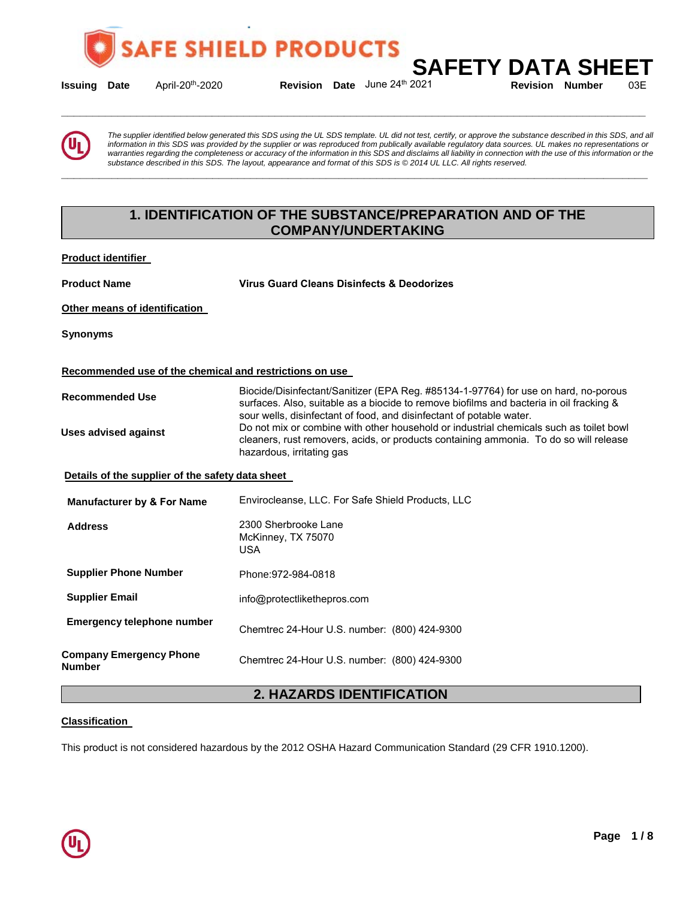

**Issuing Date** April-20<sup>th</sup>-2020 **Revision Date** June 24<sup>th</sup> 2021 **Revision Number** 03E

**\_\_\_\_\_\_\_\_\_\_\_\_\_\_\_\_\_\_\_\_\_\_\_\_\_\_\_\_\_\_\_\_\_\_\_\_\_\_\_\_\_\_\_\_\_\_\_\_\_\_\_\_\_\_\_\_\_\_\_\_\_\_\_\_\_\_\_\_\_\_\_\_\_\_\_\_\_\_\_\_\_\_\_\_\_\_\_\_\_\_\_\_\_** 

**SAFETY DATA SHEET**<br>2021 Revision Number 03E

*The supplier identified below generated this SDS using the UL SDS template. UL did not test, certify, or approve the substance described in this SDS, and all information in this SDS was provided by the supplier or was reproduced from publically available regulatory data sources. UL makes no representations or*  warranties regarding the completeness or accuracy of the information in this SDS and disclaims all liability in connection with the use of this information or the *substance described in this SDS. The layout, appearance and format of this SDS is © 2014 UL LLC. All rights reserved.* 

# **1. IDENTIFICATION OF THE SUBSTANCE/PREPARATION AND OF THE COMPANY/UNDERTAKING**

**\_\_\_\_\_\_\_\_\_\_\_\_\_\_\_\_\_\_\_\_\_\_\_\_\_\_\_\_\_\_\_\_\_\_\_\_\_\_\_\_\_\_\_\_\_\_\_\_\_\_\_\_\_\_\_\_\_\_\_\_\_\_\_\_\_\_\_\_\_\_\_\_\_\_\_\_\_\_\_\_\_\_\_\_\_\_\_\_\_\_\_\_\_** 

**Product identifier** 

**Product Name Virus Guard Cleans Disinfects & Deodorizes**

**Other means of identification** 

**Synonyms** 

### **Recommended use of the chemical and restrictions on use**

| <b>Recommended Use</b>                           | Biocide/Disinfectant/Sanitizer (EPA Reg. #85134-1-97764) for use on hard, no-porous<br>surfaces. Also, suitable as a biocide to remove biofilms and bacteria in oil fracking &                                                                                                       |
|--------------------------------------------------|--------------------------------------------------------------------------------------------------------------------------------------------------------------------------------------------------------------------------------------------------------------------------------------|
| Uses advised against                             | sour wells, disinfectant of food, and disinfectant of potable water.<br>Do not mix or combine with other household or industrial chemicals such as toilet bowl<br>cleaners, rust removers, acids, or products containing ammonia. To do so will release<br>hazardous, irritating gas |
| Details of the supplier of the safety data sheet |                                                                                                                                                                                                                                                                                      |
| Manufacturer by & For Name                       | Envirocleanse, LLC. For Safe Shield Products, LLC                                                                                                                                                                                                                                    |

| <b>Manuacture by &amp; I OF Name</b>     |                                                   |
|------------------------------------------|---------------------------------------------------|
| <b>Address</b>                           | 2300 Sherbrooke Lane<br>McKinney, TX 75070<br>USA |
| <b>Supplier Phone Number</b>             | Phone: 972-984-0818                               |
| <b>Supplier Email</b>                    | info@protectlikethepros.com                       |
| Emergency telephone number               | Chemtrec 24-Hour U.S. number: (800) 424-9300      |
| <b>Company Emergency Phone</b><br>Number | Chemtrec 24-Hour U.S. number: (800) 424-9300      |

# **2. HAZARDS IDENTIFICATION**

#### **Classification**

This product is not considered hazardous by the 2012 OSHA Hazard Communication Standard (29 CFR 1910.1200).

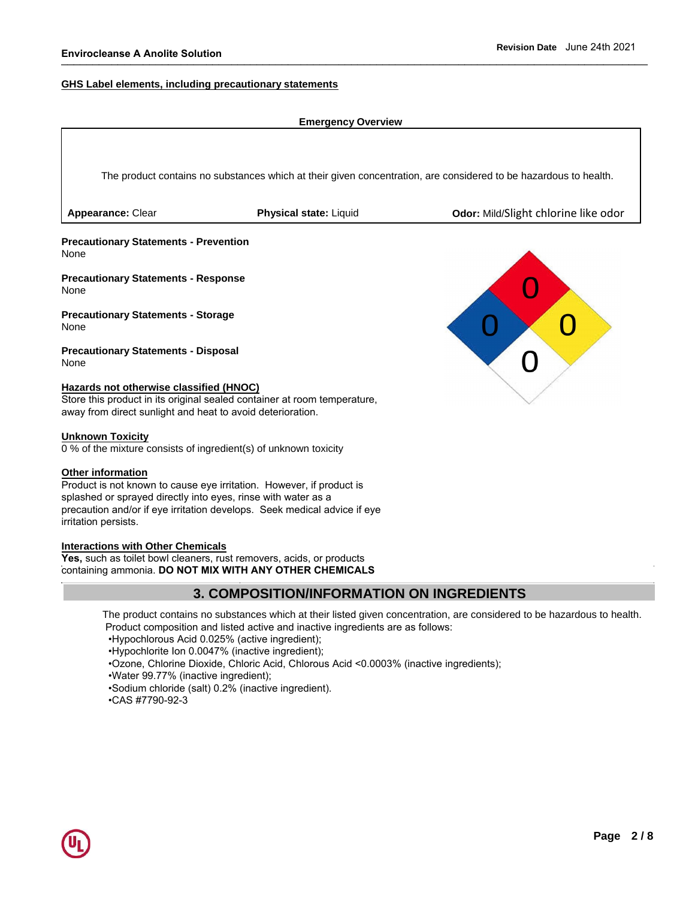#### **GHS Label elements, including precautionary statements**

#### **Emergency Overview**

The product contains no substances which at their given concentration, are considered to be hazardous to health.

**Appearance:** Clear **Physical state:** Liquid **Odor:** Mild/Slight chlorine like odor

**Precautionary Statements - Prevention**  None

**Precautionary Statements - Response**  None

**Precautionary Statements - Storage**  None

**Precautionary Statements - Disposal**  None

#### **Hazards not otherwise classified (HNOC)**

Store this product in its original sealed container at room temperature, away from direct sunlight and heat to avoid deterioration.

#### **Unknown Toxicity**

0 % of the mixture consists of ingredient(s) of unknown toxicity

#### **Other information**

Product is not known to cause eye irritation. However, if product is splashed or sprayed directly into eyes, rinse with water as a precaution and/or if eye irritation develops. Seek medical advice if eye irritation persists.

#### **Interactions with Other Chemicals**

**Yes,** such as toilet bowl cleaners, rust removers, acids, or products containing ammonia. **DO NOT MIX WITH ANY OTHER CHEMICALS**

## **3. COMPOSITION/INFORMATION ON INGREDIENTS**

The product contains no substances which at their listed given concentration, are considered to be hazardous to health. Product composition and listed active and inactive ingredients are as follows:

•Hypochlorous Acid 0.025% (active ingredient);

•Hypochlorite Ion 0.0047% (inactive ingredient);

•Ozone, Chlorine Dioxide, Chloric Acid, Chlorous Acid <0.0003% (inactive ingredients);

•Water 99.77% (inactive ingredient);

•Sodium chloride (salt) 0.2% (inactive ingredient).

•CAS #7790-92-3

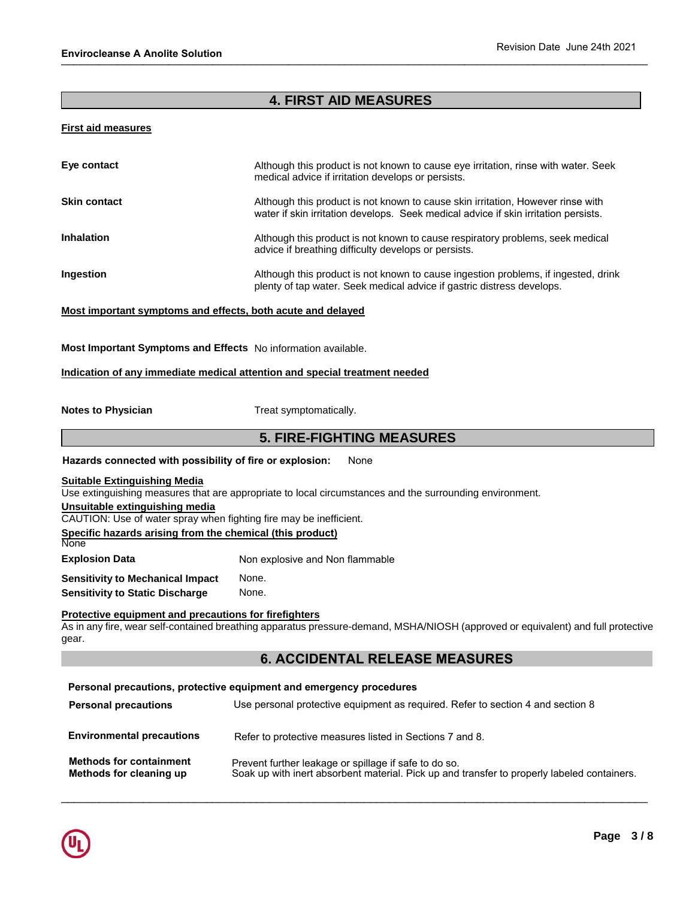# **4. FIRST AID MEASURES**

#### **First aid measures**

| Eye contact         | Although this product is not known to cause eye irritation, rinse with water. Seek<br>medical advice if irritation develops or persists.                               |
|---------------------|------------------------------------------------------------------------------------------------------------------------------------------------------------------------|
| <b>Skin contact</b> | Although this product is not known to cause skin irritation, However rinse with<br>water if skin irritation develops. Seek medical advice if skin irritation persists. |
| <b>Inhalation</b>   | Although this product is not known to cause respiratory problems, seek medical<br>advice if breathing difficulty develops or persists.                                 |
| Ingestion           | Although this product is not known to cause ingestion problems, if ingested, drink<br>plenty of tap water. Seek medical advice if gastric distress develops.           |

#### **Most important symptoms and effects, both acute and delayed**

**Most Important Symptoms and Effects** No information available.

#### **Indication of any immediate medical attention and special treatment needed**

**Notes to Physician**  Treat symptomatically.

## **5. FIRE-FIGHTING MEASURES**

**Hazards connected with possibility of fire or explosion:** None

#### **Suitable Extinguishing Media**

Use extinguishing measures that are appropriate to local circumstances and the surrounding environment.

#### **Unsuitable extinguishing media**

CAUTION: Use of water spray when fighting fire may be inefficient. **Specific hazards arising from the chemical (this product)**

**Explosion Data**  Non explosive and Non flammable

**Sensitivity to Mechanical Impact Sensitivity to Static Discharge**  None. None.

#### **Protective equipment and precautions for firefighters**

As in any fire, wear self-contained breathing apparatus pressure-demand, MSHA/NIOSH (approved or equivalent) and full protective gear.

## **6. ACCIDENTAL RELEASE MEASURES**

## **Personal precautions, protective equipment and emergency procedures**

| <b>Personal precautions</b>                               | Use personal protective equipment as required. Refer to section 4 and section 8                                                                      |
|-----------------------------------------------------------|------------------------------------------------------------------------------------------------------------------------------------------------------|
| <b>Environmental precautions</b>                          | Refer to protective measures listed in Sections 7 and 8.                                                                                             |
| <b>Methods for containment</b><br>Methods for cleaning up | Prevent further leakage or spillage if safe to do so.<br>Soak up with inert absorbent material. Pick up and transfer to properly labeled containers. |

\_\_\_\_\_\_\_\_\_\_\_\_\_\_\_\_\_\_\_\_\_\_\_\_\_\_\_\_\_\_\_\_\_\_\_\_\_\_\_\_\_\_\_\_\_\_\_\_\_\_\_\_\_\_\_\_\_\_\_\_\_\_\_\_\_\_\_\_\_\_\_\_\_\_\_\_\_\_\_\_\_\_\_\_\_\_\_\_\_\_\_\_\_



**None**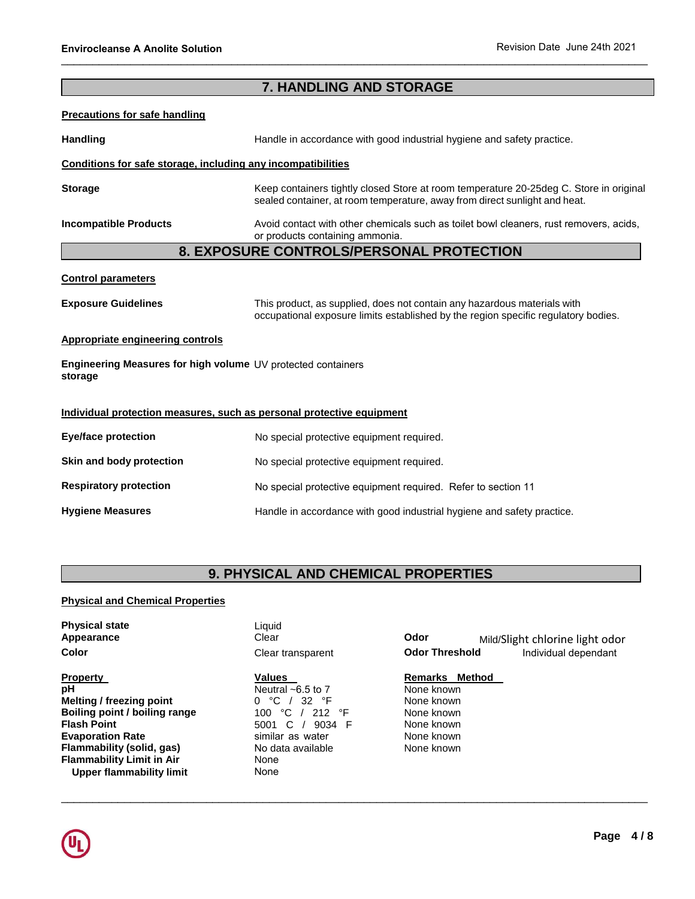# **7. HANDLING AND STORAGE**

#### **Precautions for safe handling**

Handling **Handling Handle in accordance with good industrial hygiene and safety practice.** 

#### **Conditions for safe storage, including any incompatibilities**

**Storage**  Keep containers tightly closed Store at room temperature 20-25deg C. Store in original sealed container, at room temperature, away from direct sunlight and heat.

**Incompatible Products** 

Avoid contact with other chemicals such as toilet bowl cleaners, rust removers, acids, or products containing ammonia.

## **8. EXPOSURE CONTROLS/PERSONAL PROTECTION**

#### **Control parameters**

**Exposure Guidelines** This product, as supplied, does not contain any hazardous materials with occupational exposure limits established by the region specific regulatory bodies.

#### **Appropriate engineering controls**

**Engineering Measures for high volume**  UV protected containers **storage**

#### **Individual protection measures, such as personal protective equipment**

| Eye/face protection           | No special protective equipment required.                              |
|-------------------------------|------------------------------------------------------------------------|
| Skin and body protection      | No special protective equipment required.                              |
| <b>Respiratory protection</b> | No special protective equipment required. Refer to section 11          |
| <b>Hygiene Measures</b>       | Handle in accordance with good industrial hygiene and safety practice. |

# **9. PHYSICAL AND CHEMICAL PROPERTIES**

#### **Physical and Chemical Properties**

| <b>Physical state</b><br>Appearance<br><b>Color</b>                                                                                                                                                                                            | Liauid<br>Clear<br>Clear transparent                                                                                                                            | Odor<br><b>Odor Threshold</b>                                                                      | Mild/Slight chlorine light odor<br>Individual dependant |
|------------------------------------------------------------------------------------------------------------------------------------------------------------------------------------------------------------------------------------------------|-----------------------------------------------------------------------------------------------------------------------------------------------------------------|----------------------------------------------------------------------------------------------------|---------------------------------------------------------|
| <b>Property</b><br>рH<br><b>Melting / freezing point</b><br>Boiling point / boiling range<br><b>Flash Point</b><br><b>Evaporation Rate</b><br>Flammability (solid, gas)<br><b>Flammability Limit in Air</b><br><b>Upper flammability limit</b> | Values<br>Neutral $\sim$ 6.5 to 7<br>℃<br>32 °F<br>0<br>°C<br>212<br>°F<br>100<br>C.<br>9034 F<br>5001<br>similar as water<br>No data available<br>None<br>None | Remarks Method<br>None known<br>None known<br>None known<br>None known<br>None known<br>None known |                                                         |

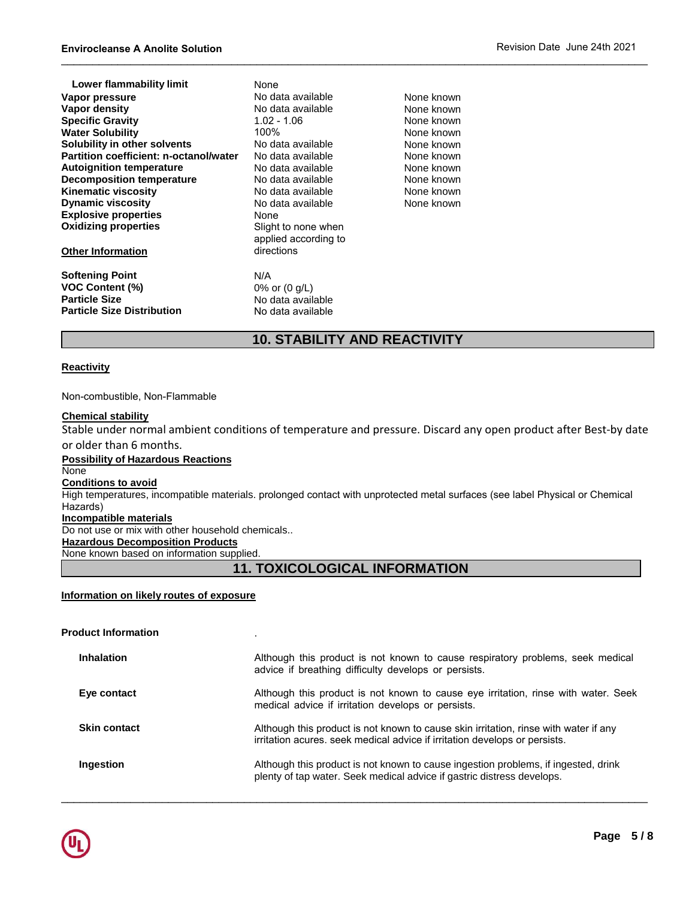| Lower flammability limit               | None                    |            |
|----------------------------------------|-------------------------|------------|
| Vapor pressure                         | No data available       | None known |
| Vapor density                          | No data available       | None known |
| <b>Specific Gravity</b>                | 1.02 - 1.06             | None known |
| <b>Water Solubility</b>                | 100%                    | None known |
| Solubility in other solvents           | No data available       | None known |
| Partition coefficient: n-octanol/water | No data available       | None known |
| <b>Autoignition temperature</b>        | No data available       | None known |
| <b>Decomposition temperature</b>       | No data available       | None known |
| <b>Kinematic viscosity</b>             | No data available       | None known |
| <b>Dynamic viscosity</b>               | No data available       | None known |
| <b>Explosive properties</b>            | None                    |            |
| <b>Oxidizing properties</b>            | Slight to none when     |            |
|                                        | applied according to    |            |
| <b>Other Information</b>               | directions              |            |
| <b>Softening Point</b>                 | N/A                     |            |
| <b>VOC Content (%)</b>                 | 0% or $(0 \text{ q/L})$ |            |
| <b>Particle Size</b>                   | No data available       |            |
| <b>Particle Size Distribution</b>      | No data available       |            |
|                                        |                         |            |

# **10. STABILITY AND REACTIVITY**

#### **Reactivity**

#### Non-combustible, Non-Flammable

#### **Chemical stability**

Stable under normal ambient conditions of temperature and pressure. Discard any open product after Best-by date or older than 6 months.

**Possibility of Hazardous Reactions** None **Conditions to avoid** High temperatures, incompatible materials. prolonged contact with unprotected metal surfaces (see label Physical or Chemical Hazards) **Incompatible materials** Do not use or mix with other household chemicals.. **Hazardous Decomposition Products**

None known based on information supplied.

# **11. TOXICOLOGICAL INFORMATION**

#### **Information on likely routes of exposure**

| <b>Product Information</b> |                                                                                                                                                                    |
|----------------------------|--------------------------------------------------------------------------------------------------------------------------------------------------------------------|
| <b>Inhalation</b>          | Although this product is not known to cause respiratory problems, seek medical<br>advice if breathing difficulty develops or persists.                             |
| Eye contact                | Although this product is not known to cause eye irritation, rinse with water. Seek<br>medical advice if irritation develops or persists.                           |
| <b>Skin contact</b>        | Although this product is not known to cause skin irritation, rinse with water if any<br>irritation acures, seek medical advice if irritation develops or persists. |
| Ingestion                  | Although this product is not known to cause ingestion problems, if ingested, drink<br>plenty of tap water. Seek medical advice if gastric distress develops.       |

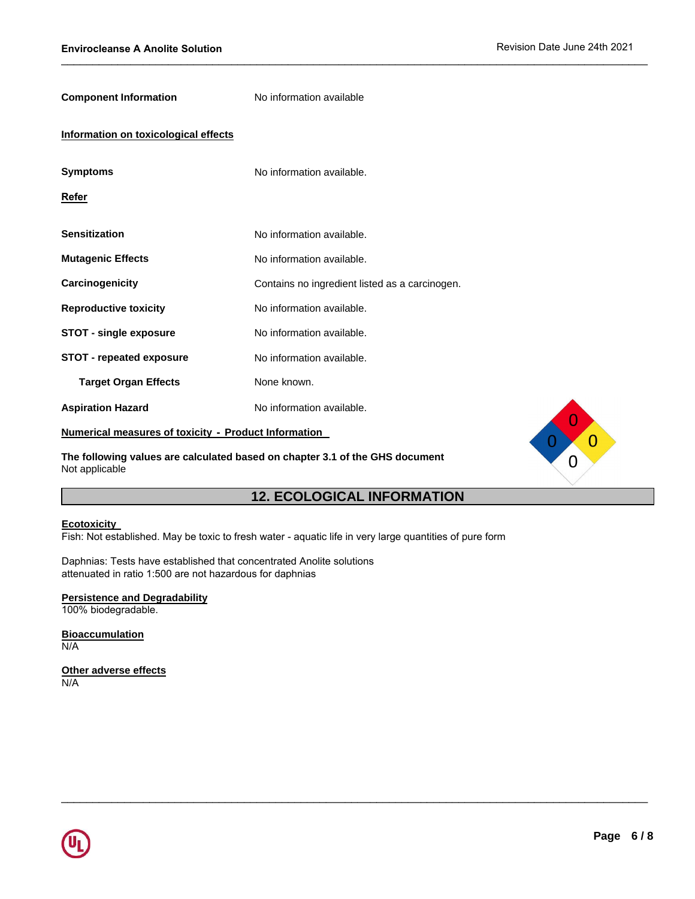$\overline{0}$ 

| <b>Component Information</b>                                | No information available                       |
|-------------------------------------------------------------|------------------------------------------------|
| Information on toxicological effects                        |                                                |
| <b>Symptoms</b>                                             | No information available.                      |
| Refer                                                       |                                                |
| <b>Sensitization</b>                                        | No information available.                      |
| <b>Mutagenic Effects</b>                                    | No information available.                      |
| Carcinogenicity                                             | Contains no ingredient listed as a carcinogen. |
| <b>Reproductive toxicity</b>                                | No information available.                      |
| <b>STOT - single exposure</b>                               | No information available.                      |
| <b>STOT - repeated exposure</b>                             | No information available.                      |
| <b>Target Organ Effects</b>                                 | None known.                                    |
| <b>Aspiration Hazard</b>                                    | No information available.                      |
| <b>Numerical measures of toxicity - Product Information</b> |                                                |

**The following values are calculated based on chapter 3.1 of the GHS document** Not applicable

# **12. ECOLOGICAL INFORMATION**

 $\_$  ,  $\_$  ,  $\_$  ,  $\_$  ,  $\_$  ,  $\_$  ,  $\_$  ,  $\_$  ,  $\_$  ,  $\_$  ,  $\_$  ,  $\_$  ,  $\_$  ,  $\_$  ,  $\_$  ,  $\_$  ,  $\_$  ,  $\_$  ,  $\_$  ,  $\_$  ,  $\_$  ,  $\_$  ,  $\_$  ,  $\_$  ,  $\_$  ,  $\_$  ,  $\_$  ,  $\_$  ,  $\_$  ,  $\_$  ,  $\_$  ,  $\_$  ,  $\_$  ,  $\_$  ,  $\_$  ,  $\_$  ,  $\_$  ,

#### **Ecotoxicity**

Fish: Not established. May be toxic to fresh water - aquatic life in very large quantities of pure form

Daphnias: Tests have established that concentrated Anolite solutions attenuated in ratio 1:500 are not hazardous for daphnias

#### **Persistence and Degradability**

100% biodegradable.

#### **Bioaccumulation** N/A

**Other adverse effects** N/A

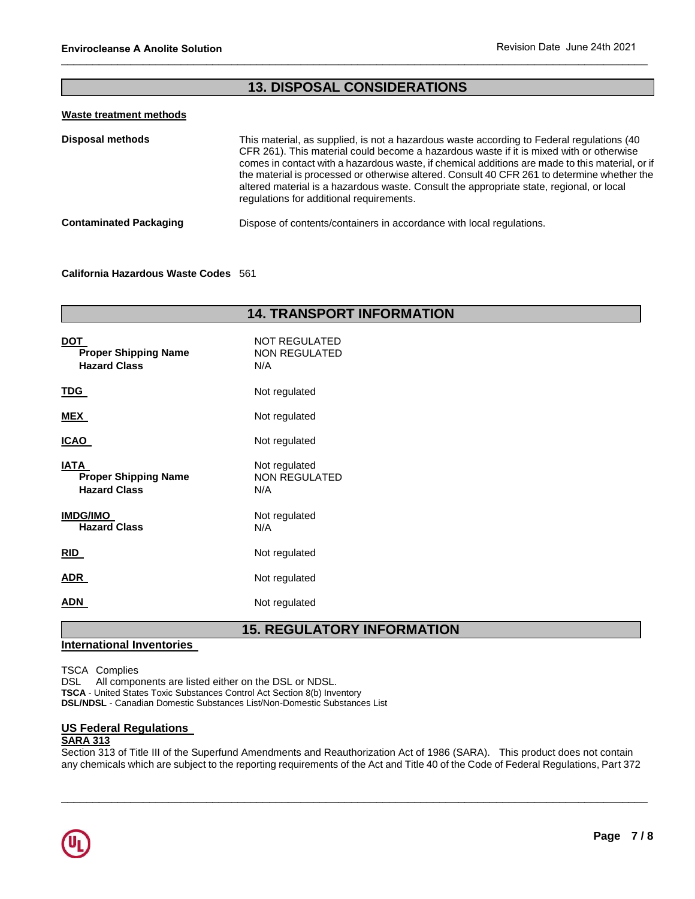# **13. DISPOSAL CONSIDERATIONS**

#### **Waste treatment methods**

| <b>Disposal methods</b>       | This material, as supplied, is not a hazardous waste according to Federal regulations (40)<br>CFR 261). This material could become a hazardous waste if it is mixed with or otherwise<br>comes in contact with a hazardous waste, if chemical additions are made to this material, or if<br>the material is processed or otherwise altered. Consult 40 CFR 261 to determine whether the<br>altered material is a hazardous waste. Consult the appropriate state, regional, or local<br>regulations for additional requirements. |
|-------------------------------|---------------------------------------------------------------------------------------------------------------------------------------------------------------------------------------------------------------------------------------------------------------------------------------------------------------------------------------------------------------------------------------------------------------------------------------------------------------------------------------------------------------------------------|
| <b>Contaminated Packaging</b> | Dispose of contents/containers in accordance with local regulations.                                                                                                                                                                                                                                                                                                                                                                                                                                                            |

#### **California Hazardous Waste Codes** 561

| <b>14. TRANSPORT INFORMATION</b>                                  |                                              |  |
|-------------------------------------------------------------------|----------------------------------------------|--|
| <b>DOT</b><br><b>Proper Shipping Name</b><br><b>Hazard Class</b>  | <b>NOT REGULATED</b><br>NON REGULATED<br>N/A |  |
| <u>TDG</u>                                                        | Not regulated                                |  |
| <b>MEX</b>                                                        | Not regulated                                |  |
| <b>ICAO</b>                                                       | Not regulated                                |  |
| <b>IATA</b><br><b>Proper Shipping Name</b><br><b>Hazard Class</b> | Not regulated<br><b>NON REGULATED</b><br>N/A |  |
| <b>IMDG/IMO</b><br><b>Hazard Class</b>                            | Not regulated<br>N/A                         |  |
| RID                                                               | Not regulated                                |  |
| <b>ADR</b>                                                        | Not regulated                                |  |
| ADN                                                               | Not regulated                                |  |

# **15. REGULATORY INFORMATION**

## **International Inventories**

TSCA Complies

DSL All components are listed either on the DSL or NDSL. **TSCA** - United States Toxic Substances Control Act Section 8(b) Inventory **DSL/NDSL** - Canadian Domestic Substances List/Non-Domestic Substances List

## **US Federal Regulations**

#### **SARA 313**

Section 313 of Title III of the Superfund Amendments and Reauthorization Act of 1986 (SARA). This product does not contain any chemicals which are subject to the reporting requirements of the Act and Title 40 of the Code of Federal Regulations, Part 372